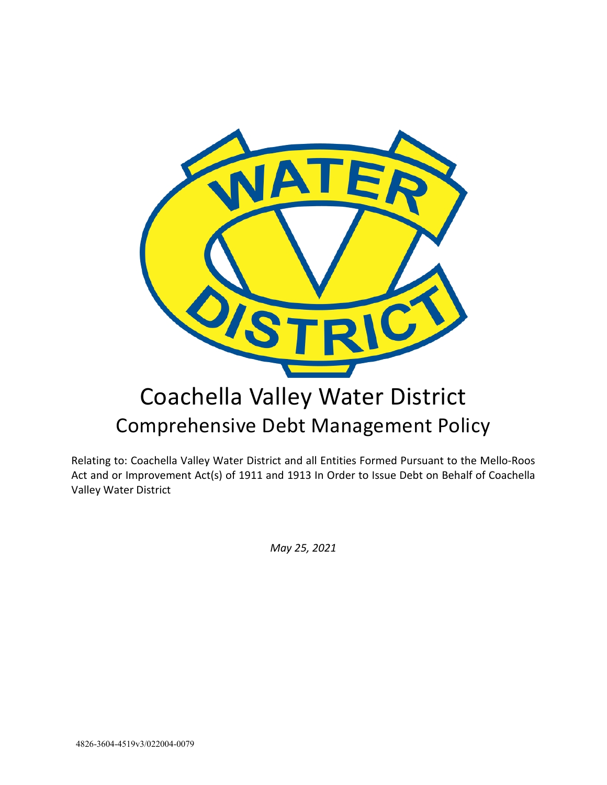

Relating to: Coachella Valley Water District and all Entities Formed Pursuant to the Mello-Roos Act and or Improvement Act(s) of 1911 and 1913 In Order to Issue Debt on Behalf of Coachella Valley Water District

*May 25, 2021*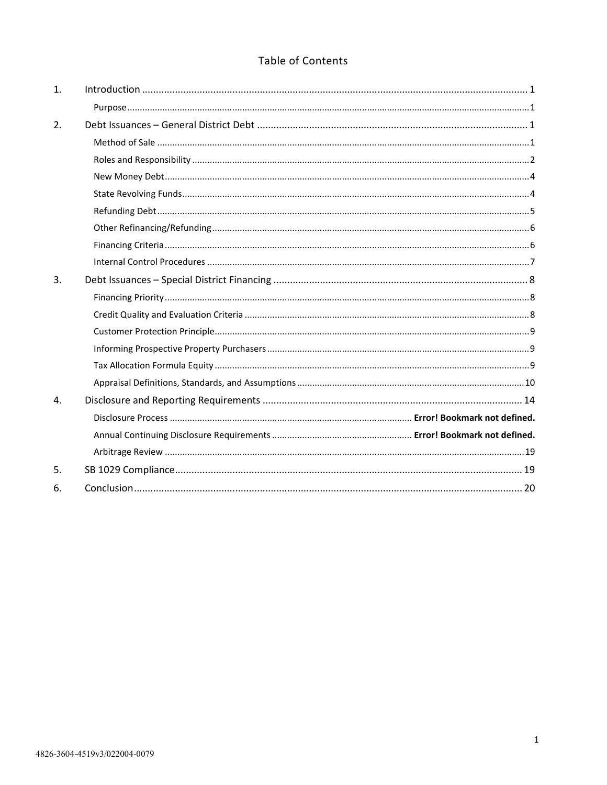# Table of Contents

| 1.             |  |
|----------------|--|
|                |  |
| 2.             |  |
|                |  |
|                |  |
|                |  |
|                |  |
|                |  |
|                |  |
|                |  |
|                |  |
| 3.             |  |
|                |  |
|                |  |
|                |  |
|                |  |
|                |  |
|                |  |
| $\mathbf{A}$ . |  |
|                |  |
|                |  |
|                |  |
| 5.             |  |
| 6.             |  |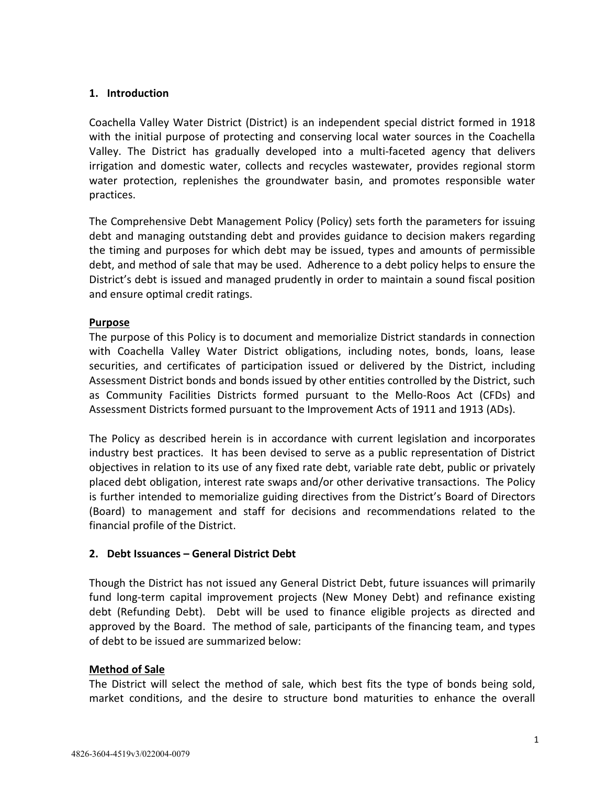## <span id="page-2-0"></span>**1. Introduction**

Coachella Valley Water District (District) is an independent special district formed in 1918 with the initial purpose of protecting and conserving local water sources in the Coachella Valley. The District has gradually developed into a multi-faceted agency that delivers irrigation and domestic water, collects and recycles wastewater, provides regional storm water protection, replenishes the groundwater basin, and promotes responsible water practices.

The Comprehensive Debt Management Policy (Policy) sets forth the parameters for issuing debt and managing outstanding debt and provides guidance to decision makers regarding the timing and purposes for which debt may be issued, types and amounts of permissible debt, and method of sale that may be used. Adherence to a debt policy helps to ensure the District's debt is issued and managed prudently in order to maintain a sound fiscal position and ensure optimal credit ratings.

## **Purpose**

The purpose of this Policy is to document and memorialize District standards in connection with Coachella Valley Water District obligations, including notes, bonds, loans, lease securities, and certificates of participation issued or delivered by the District, including Assessment District bonds and bonds issued by other entities controlled by the District, such as Community Facilities Districts formed pursuant to the Mello-Roos Act (CFDs) and Assessment Districts formed pursuant to the Improvement Acts of 1911 and 1913 (ADs).

The Policy as described herein is in accordance with current legislation and incorporates industry best practices. It has been devised to serve as a public representation of District objectives in relation to its use of any fixed rate debt, variable rate debt, public or privately placed debt obligation, interest rate swaps and/or other derivative transactions. The Policy is further intended to memorialize guiding directives from the District's Board of Directors (Board) to management and staff for decisions and recommendations related to the financial profile of the District.

## **2. Debt Issuances – General District Debt**

Though the District has not issued any General District Debt, future issuances will primarily fund long-term capital improvement projects (New Money Debt) and refinance existing debt (Refunding Debt). Debt will be used to finance eligible projects as directed and approved by the Board. The method of sale, participants of the financing team, and types of debt to be issued are summarized below:

## **Method of Sale**

The District will select the method of sale, which best fits the type of bonds being sold, market conditions, and the desire to structure bond maturities to enhance the overall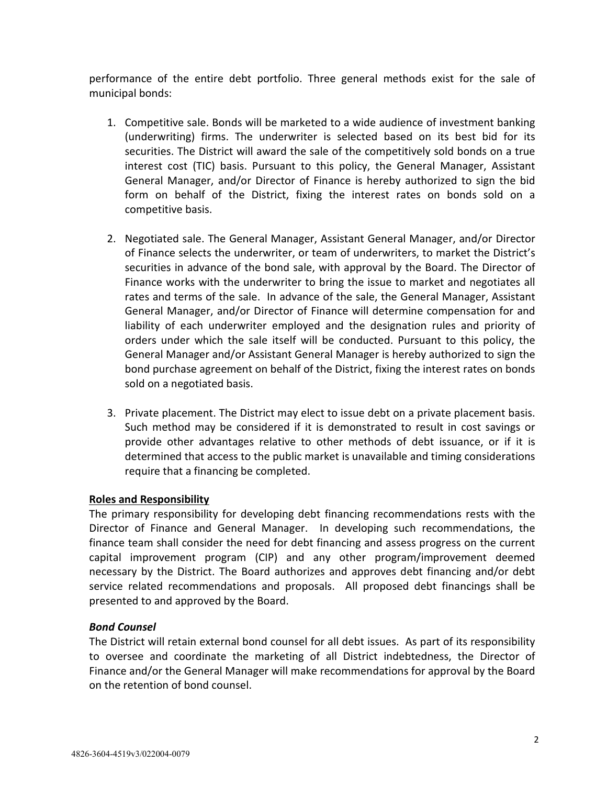<span id="page-3-0"></span>performance of the entire debt portfolio. Three general methods exist for the sale of municipal bonds:

- 1. Competitive sale. Bonds will be marketed to a wide audience of investment banking (underwriting) firms. The underwriter is selected based on its best bid for its securities. The District will award the sale of the competitively sold bonds on a true interest cost (TIC) basis. Pursuant to this policy, the General Manager, Assistant General Manager, and/or Director of Finance is hereby authorized to sign the bid form on behalf of the District, fixing the interest rates on bonds sold on a competitive basis.
- 2. Negotiated sale. The General Manager, Assistant General Manager, and/or Director of Finance selects the underwriter, or team of underwriters, to market the District's securities in advance of the bond sale, with approval by the Board. The Director of Finance works with the underwriter to bring the issue to market and negotiates all rates and terms of the sale. In advance of the sale, the General Manager, Assistant General Manager, and/or Director of Finance will determine compensation for and liability of each underwriter employed and the designation rules and priority of orders under which the sale itself will be conducted. Pursuant to this policy, the General Manager and/or Assistant General Manager is hereby authorized to sign the bond purchase agreement on behalf of the District, fixing the interest rates on bonds sold on a negotiated basis.
- 3. Private placement. The District may elect to issue debt on a private placement basis. Such method may be considered if it is demonstrated to result in cost savings or provide other advantages relative to other methods of debt issuance, or if it is determined that access to the public market is unavailable and timing considerations require that a financing be completed.

## **Roles and Responsibility**

The primary responsibility for developing debt financing recommendations rests with the Director of Finance and General Manager. In developing such recommendations, the finance team shall consider the need for debt financing and assess progress on the current capital improvement program (CIP) and any other program/improvement deemed necessary by the District. The Board authorizes and approves debt financing and/or debt service related recommendations and proposals. All proposed debt financings shall be presented to and approved by the Board.

## *Bond Counsel*

The District will retain external bond counsel for all debt issues. As part of its responsibility to oversee and coordinate the marketing of all District indebtedness, the Director of Finance and/or the General Manager will make recommendations for approval by the Board on the retention of bond counsel.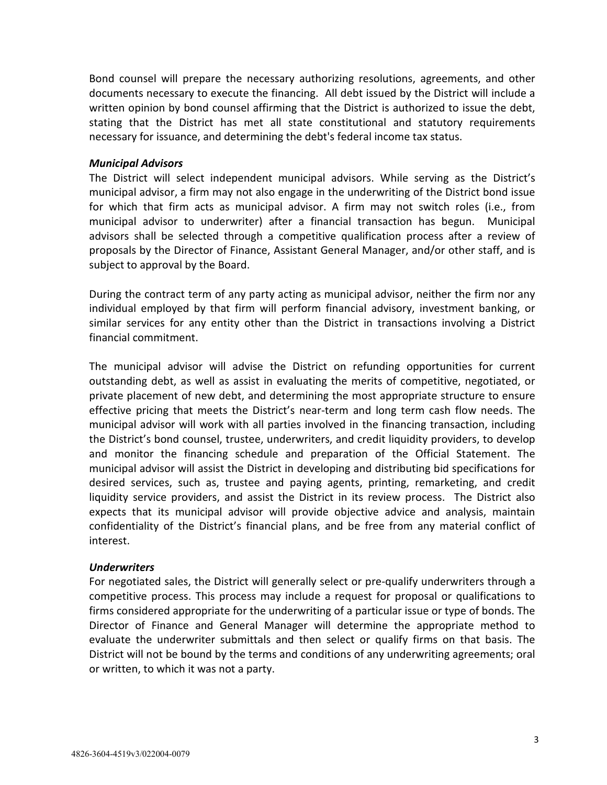Bond counsel will prepare the necessary authorizing resolutions, agreements, and other documents necessary to execute the financing. All debt issued by the District will include a written opinion by bond counsel affirming that the District is authorized to issue the debt, stating that the District has met all state constitutional and statutory requirements necessary for issuance, and determining the debt's federal income tax status.

### *Municipal Advisors*

The District will select independent municipal advisors. While serving as the District's municipal advisor, a firm may not also engage in the underwriting of the District bond issue for which that firm acts as municipal advisor. A firm may not switch roles (i.e., from municipal advisor to underwriter) after a financial transaction has begun. Municipal advisors shall be selected through a competitive qualification process after a review of proposals by the Director of Finance, Assistant General Manager, and/or other staff, and is subject to approval by the Board.

During the contract term of any party acting as municipal advisor, neither the firm nor any individual employed by that firm will perform financial advisory, investment banking, or similar services for any entity other than the District in transactions involving a District financial commitment.

The municipal advisor will advise the District on refunding opportunities for current outstanding debt, as well as assist in evaluating the merits of competitive, negotiated, or private placement of new debt, and determining the most appropriate structure to ensure effective pricing that meets the District's near-term and long term cash flow needs. The municipal advisor will work with all parties involved in the financing transaction, including the District's bond counsel, trustee, underwriters, and credit liquidity providers, to develop and monitor the financing schedule and preparation of the Official Statement. The municipal advisor will assist the District in developing and distributing bid specifications for desired services, such as, trustee and paying agents, printing, remarketing, and credit liquidity service providers, and assist the District in its review process. The District also expects that its municipal advisor will provide objective advice and analysis, maintain confidentiality of the District's financial plans, and be free from any material conflict of interest.

#### *Underwriters*

For negotiated sales, the District will generally select or pre-qualify underwriters through a competitive process. This process may include a request for proposal or qualifications to firms considered appropriate for the underwriting of a particular issue or type of bonds. The Director of Finance and General Manager will determine the appropriate method to evaluate the underwriter submittals and then select or qualify firms on that basis. The District will not be bound by the terms and conditions of any underwriting agreements; oral or written, to which it was not a party.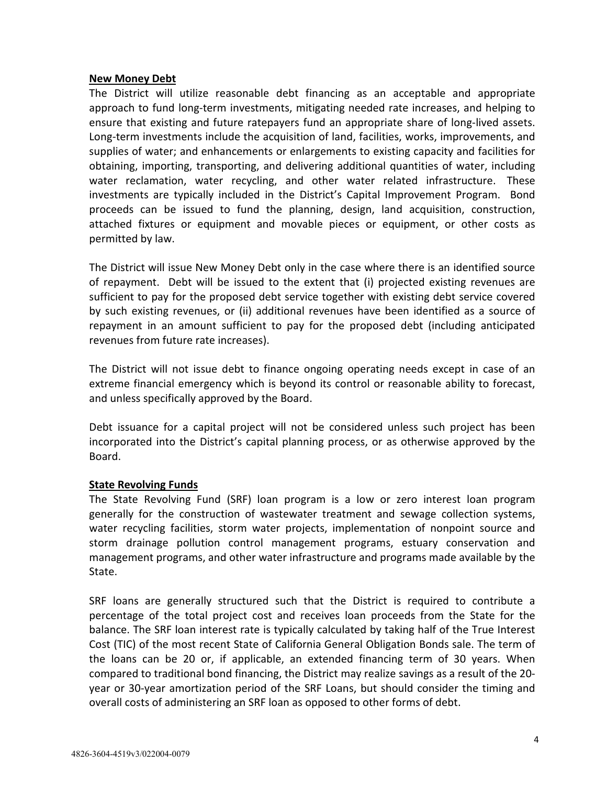### <span id="page-5-0"></span>**New Money Debt**

The District will utilize reasonable debt financing as an acceptable and appropriate approach to fund long-term investments, mitigating needed rate increases, and helping to ensure that existing and future ratepayers fund an appropriate share of long-lived assets. Long-term investments include the acquisition of land, facilities, works, improvements, and supplies of water; and enhancements or enlargements to existing capacity and facilities for obtaining, importing, transporting, and delivering additional quantities of water, including water reclamation, water recycling, and other water related infrastructure. These investments are typically included in the District's Capital Improvement Program. Bond proceeds can be issued to fund the planning, design, land acquisition, construction, attached fixtures or equipment and movable pieces or equipment, or other costs as permitted by law.

The District will issue New Money Debt only in the case where there is an identified source of repayment. Debt will be issued to the extent that (i) projected existing revenues are sufficient to pay for the proposed debt service together with existing debt service covered by such existing revenues, or (ii) additional revenues have been identified as a source of repayment in an amount sufficient to pay for the proposed debt (including anticipated revenues from future rate increases).

The District will not issue debt to finance ongoing operating needs except in case of an extreme financial emergency which is beyond its control or reasonable ability to forecast, and unless specifically approved by the Board.

Debt issuance for a capital project will not be considered unless such project has been incorporated into the District's capital planning process, or as otherwise approved by the Board.

## **State Revolving Funds**

The State Revolving Fund (SRF) loan program is a low or zero interest loan program generally for the construction of wastewater treatment and sewage collection systems, water recycling facilities, storm water projects, implementation of nonpoint source and storm drainage pollution control management programs, estuary conservation and management programs, and other water infrastructure and programs made available by the State.

SRF loans are generally structured such that the District is required to contribute a percentage of the total project cost and receives loan proceeds from the State for the balance. The SRF loan interest rate is typically calculated by taking half of the True Interest Cost (TIC) of the most recent State of California General Obligation Bonds sale. The term of the loans can be 20 or, if applicable, an extended financing term of 30 years. When compared to traditional bond financing, the District may realize savings as a result of the 20 year or 30-year amortization period of the SRF Loans, but should consider the timing and overall costs of administering an SRF loan as opposed to other forms of debt.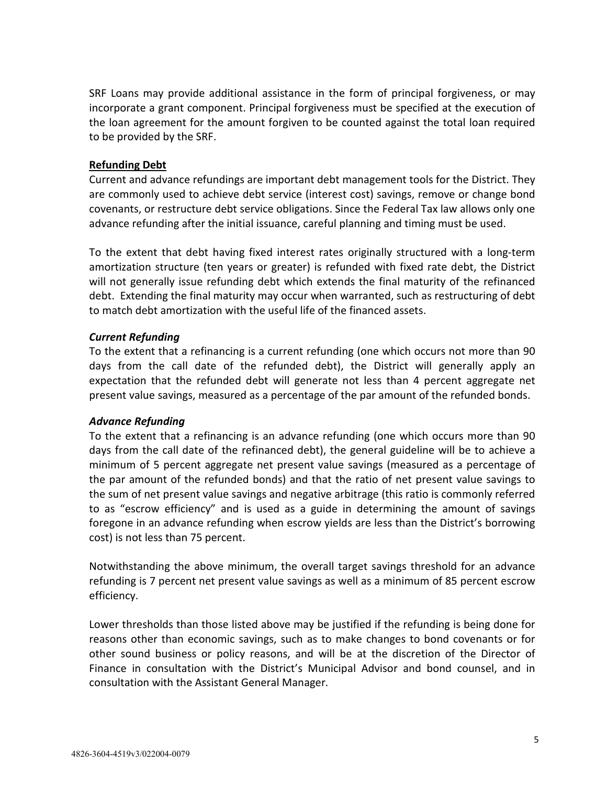<span id="page-6-0"></span>SRF Loans may provide additional assistance in the form of principal forgiveness, or may incorporate a grant component. Principal forgiveness must be specified at the execution of the loan agreement for the amount forgiven to be counted against the total loan required to be provided by the SRF.

## **Refunding Debt**

Current and advance refundings are important debt management tools for the District. They are commonly used to achieve debt service (interest cost) savings, remove or change bond covenants, or restructure debt service obligations. Since the Federal Tax law allows only one advance refunding after the initial issuance, careful planning and timing must be used.

To the extent that debt having fixed interest rates originally structured with a long-term amortization structure (ten years or greater) is refunded with fixed rate debt, the District will not generally issue refunding debt which extends the final maturity of the refinanced debt. Extending the final maturity may occur when warranted, such as restructuring of debt to match debt amortization with the useful life of the financed assets.

## *Current Refunding*

To the extent that a refinancing is a current refunding (one which occurs not more than 90 days from the call date of the refunded debt), the District will generally apply an expectation that the refunded debt will generate not less than 4 percent aggregate net present value savings, measured as a percentage of the par amount of the refunded bonds.

## *Advance Refunding*

To the extent that a refinancing is an advance refunding (one which occurs more than 90 days from the call date of the refinanced debt), the general guideline will be to achieve a minimum of 5 percent aggregate net present value savings (measured as a percentage of the par amount of the refunded bonds) and that the ratio of net present value savings to the sum of net present value savings and negative arbitrage (this ratio is commonly referred to as "escrow efficiency" and is used as a guide in determining the amount of savings foregone in an advance refunding when escrow yields are less than the District's borrowing cost) is not less than 75 percent.

Notwithstanding the above minimum, the overall target savings threshold for an advance refunding is 7 percent net present value savings as well as a minimum of 85 percent escrow efficiency.

Lower thresholds than those listed above may be justified if the refunding is being done for reasons other than economic savings, such as to make changes to bond covenants or for other sound business or policy reasons, and will be at the discretion of the Director of Finance in consultation with the District's Municipal Advisor and bond counsel, and in consultation with the Assistant General Manager.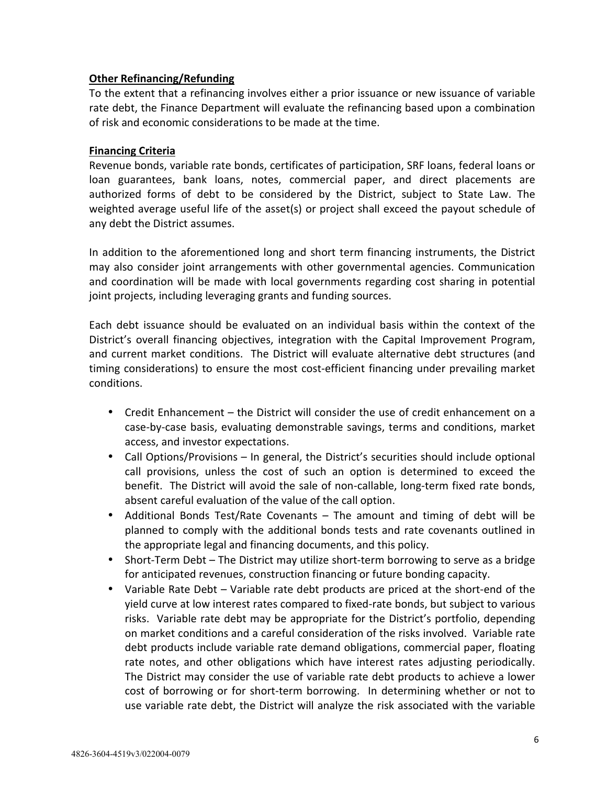## <span id="page-7-0"></span>**Other Refinancing/Refunding**

To the extent that a refinancing involves either a prior issuance or new issuance of variable rate debt, the Finance Department will evaluate the refinancing based upon a combination of risk and economic considerations to be made at the time.

### **Financing Criteria**

Revenue bonds, variable rate bonds, certificates of participation, SRF loans, federal loans or loan guarantees, bank loans, notes, commercial paper, and direct placements are authorized forms of debt to be considered by the District, subject to State Law. The weighted average useful life of the asset(s) or project shall exceed the payout schedule of any debt the District assumes.

In addition to the aforementioned long and short term financing instruments, the District may also consider joint arrangements with other governmental agencies. Communication and coordination will be made with local governments regarding cost sharing in potential joint projects, including leveraging grants and funding sources.

Each debt issuance should be evaluated on an individual basis within the context of the District's overall financing objectives, integration with the Capital Improvement Program, and current market conditions. The District will evaluate alternative debt structures (and timing considerations) to ensure the most cost-efficient financing under prevailing market conditions.

- Credit Enhancement the District will consider the use of credit enhancement on a case-by-case basis, evaluating demonstrable savings, terms and conditions, market access, and investor expectations.
- Call Options/Provisions In general, the District's securities should include optional call provisions, unless the cost of such an option is determined to exceed the benefit. The District will avoid the sale of non-callable, long-term fixed rate bonds, absent careful evaluation of the value of the call option.
- Additional Bonds Test/Rate Covenants The amount and timing of debt will be planned to comply with the additional bonds tests and rate covenants outlined in the appropriate legal and financing documents, and this policy.
- Short-Term Debt The District may utilize short-term borrowing to serve as a bridge for anticipated revenues, construction financing or future bonding capacity.
- Variable Rate Debt Variable rate debt products are priced at the short-end of the yield curve at low interest rates compared to fixed-rate bonds, but subject to various risks. Variable rate debt may be appropriate for the District's portfolio, depending on market conditions and a careful consideration of the risks involved. Variable rate debt products include variable rate demand obligations, commercial paper, floating rate notes, and other obligations which have interest rates adjusting periodically. The District may consider the use of variable rate debt products to achieve a lower cost of borrowing or for short-term borrowing. In determining whether or not to use variable rate debt, the District will analyze the risk associated with the variable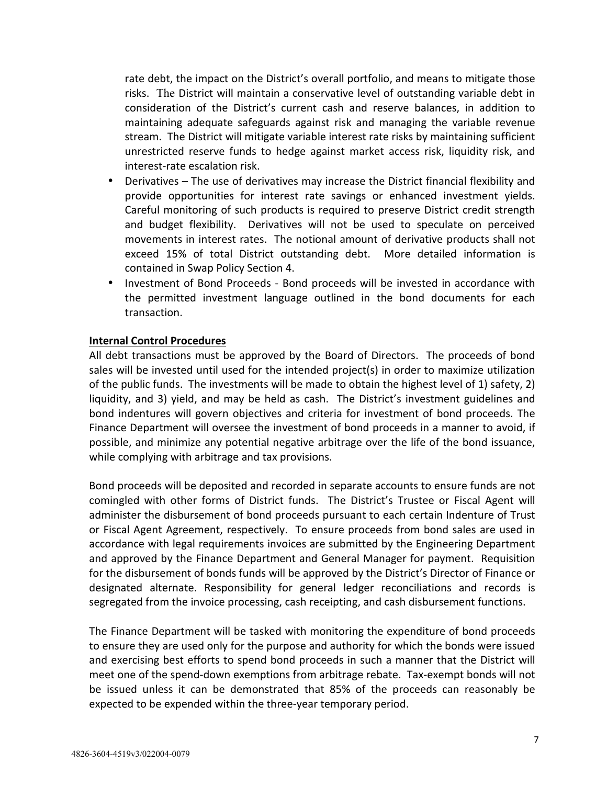<span id="page-8-0"></span>rate debt, the impact on the District's overall portfolio, and means to mitigate those risks. The District will maintain a conservative level of outstanding variable debt in consideration of the District's current cash and reserve balances, in addition to maintaining adequate safeguards against risk and managing the variable revenue stream. The District will mitigate variable interest rate risks by maintaining sufficient unrestricted reserve funds to hedge against market access risk, liquidity risk, and interest-rate escalation risk.

- Derivatives The use of derivatives may increase the District financial flexibility and provide opportunities for interest rate savings or enhanced investment yields. Careful monitoring of such products is required to preserve District credit strength and budget flexibility. Derivatives will not be used to speculate on perceived movements in interest rates. The notional amount of derivative products shall not exceed 15% of total District outstanding debt. More detailed information is contained in Swap Policy Section 4.
- Investment of Bond Proceeds Bond proceeds will be invested in accordance with the permitted investment language outlined in the bond documents for each transaction.

### **Internal Control Procedures**

All debt transactions must be approved by the Board of Directors. The proceeds of bond sales will be invested until used for the intended project(s) in order to maximize utilization of the public funds. The investments will be made to obtain the highest level of 1) safety, 2) liquidity, and 3) yield, and may be held as cash. The District's investment guidelines and bond indentures will govern objectives and criteria for investment of bond proceeds. The Finance Department will oversee the investment of bond proceeds in a manner to avoid, if possible, and minimize any potential negative arbitrage over the life of the bond issuance, while complying with arbitrage and tax provisions.

Bond proceeds will be deposited and recorded in separate accounts to ensure funds are not comingled with other forms of District funds. The District's Trustee or Fiscal Agent will administer the disbursement of bond proceeds pursuant to each certain Indenture of Trust or Fiscal Agent Agreement, respectively. To ensure proceeds from bond sales are used in accordance with legal requirements invoices are submitted by the Engineering Department and approved by the Finance Department and General Manager for payment. Requisition for the disbursement of bonds funds will be approved by the District's Director of Finance or designated alternate. Responsibility for general ledger reconciliations and records is segregated from the invoice processing, cash receipting, and cash disbursement functions.

The Finance Department will be tasked with monitoring the expenditure of bond proceeds to ensure they are used only for the purpose and authority for which the bonds were issued and exercising best efforts to spend bond proceeds in such a manner that the District will meet one of the spend-down exemptions from arbitrage rebate. Tax-exempt bonds will not be issued unless it can be demonstrated that 85% of the proceeds can reasonably be expected to be expended within the three-year temporary period.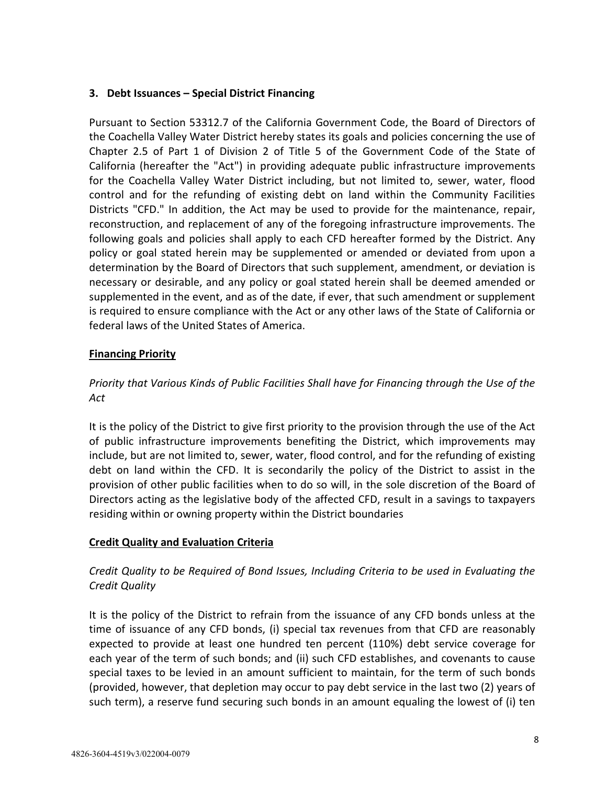## <span id="page-9-0"></span>**3. Debt Issuances – Special District Financing**

Pursuant to Section 53312.7 of the California Government Code, the Board of Directors of the Coachella Valley Water District hereby states its goals and policies concerning the use of Chapter 2.5 of Part 1 of Division 2 of Title 5 of the Government Code of the State of California (hereafter the "Act") in providing adequate public infrastructure improvements for the Coachella Valley Water District including, but not limited to, sewer, water, flood control and for the refunding of existing debt on land within the Community Facilities Districts "CFD." In addition, the Act may be used to provide for the maintenance, repair, reconstruction, and replacement of any of the foregoing infrastructure improvements. The following goals and policies shall apply to each CFD hereafter formed by the District. Any policy or goal stated herein may be supplemented or amended or deviated from upon a determination by the Board of Directors that such supplement, amendment, or deviation is necessary or desirable, and any policy or goal stated herein shall be deemed amended or supplemented in the event, and as of the date, if ever, that such amendment or supplement is required to ensure compliance with the Act or any other laws of the State of California or federal laws of the United States of America.

## **Financing Priority**

# *Priority that Various Kinds of Public Facilities Shall have for Financing through the Use of the Act*

It is the policy of the District to give first priority to the provision through the use of the Act of public infrastructure improvements benefiting the District, which improvements may include, but are not limited to, sewer, water, flood control, and for the refunding of existing debt on land within the CFD. It is secondarily the policy of the District to assist in the provision of other public facilities when to do so will, in the sole discretion of the Board of Directors acting as the legislative body of the affected CFD, result in a savings to taxpayers residing within or owning property within the District boundaries

# **Credit Quality and Evaluation Criteria**

# *Credit Quality to be Required of Bond Issues, Including Criteria to be used in Evaluating the Credit Quality*

It is the policy of the District to refrain from the issuance of any CFD bonds unless at the time of issuance of any CFD bonds, (i) special tax revenues from that CFD are reasonably expected to provide at least one hundred ten percent (110%) debt service coverage for each year of the term of such bonds; and (ii) such CFD establishes, and covenants to cause special taxes to be levied in an amount sufficient to maintain, for the term of such bonds (provided, however, that depletion may occur to pay debt service in the last two (2) years of such term), a reserve fund securing such bonds in an amount equaling the lowest of (i) ten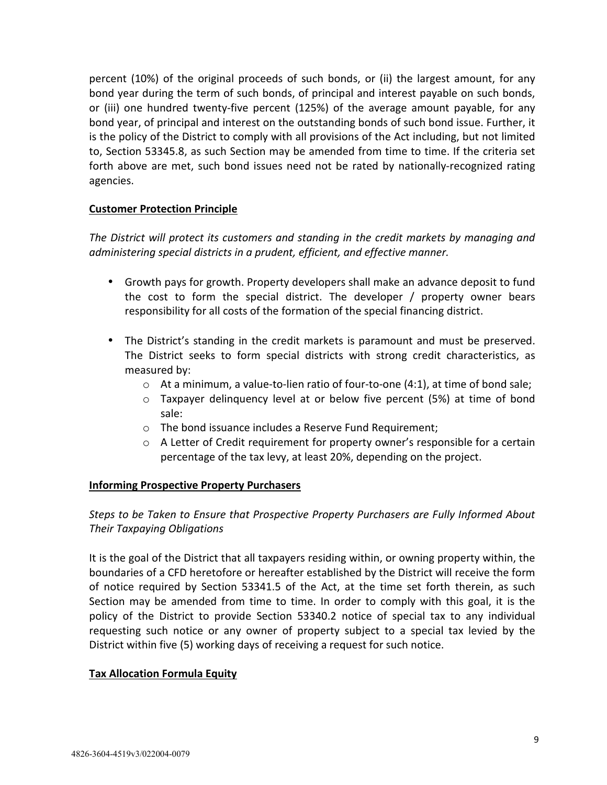<span id="page-10-0"></span>percent (10%) of the original proceeds of such bonds, or (ii) the largest amount, for any bond year during the term of such bonds, of principal and interest payable on such bonds, or (iii) one hundred twenty-five percent (125%) of the average amount payable, for any bond year, of principal and interest on the outstanding bonds of such bond issue. Further, it is the policy of the District to comply with all provisions of the Act including, but not limited to, Section 53345.8, as such Section may be amended from time to time. If the criteria set forth above are met, such bond issues need not be rated by nationally-recognized rating agencies.

## **Customer Protection Principle**

*The District will protect its customers and standing in the credit markets by managing and administering special districts in a prudent, efficient, and effective manner.* 

- Growth pays for growth. Property developers shall make an advance deposit to fund the cost to form the special district. The developer / property owner bears responsibility for all costs of the formation of the special financing district.
- The District's standing in the credit markets is paramount and must be preserved. The District seeks to form special districts with strong credit characteristics, as measured by:
	- $\circ$  At a minimum, a value-to-lien ratio of four-to-one (4:1), at time of bond sale;
	- $\circ$  Taxpayer delinguency level at or below five percent (5%) at time of bond sale:
	- o The bond issuance includes a Reserve Fund Requirement;
	- $\circ$  A Letter of Credit requirement for property owner's responsible for a certain percentage of the tax levy, at least 20%, depending on the project.

## **Informing Prospective Property Purchasers**

# *Steps to be Taken to Ensure that Prospective Property Purchasers are Fully Informed About Their Taxpaying Obligations*

It is the goal of the District that all taxpayers residing within, or owning property within, the boundaries of a CFD heretofore or hereafter established by the District will receive the form of notice required by Section 53341.5 of the Act, at the time set forth therein, as such Section may be amended from time to time. In order to comply with this goal, it is the policy of the District to provide Section 53340.2 notice of special tax to any individual requesting such notice or any owner of property subject to a special tax levied by the District within five (5) working days of receiving a request for such notice.

## **Tax Allocation Formula Equity**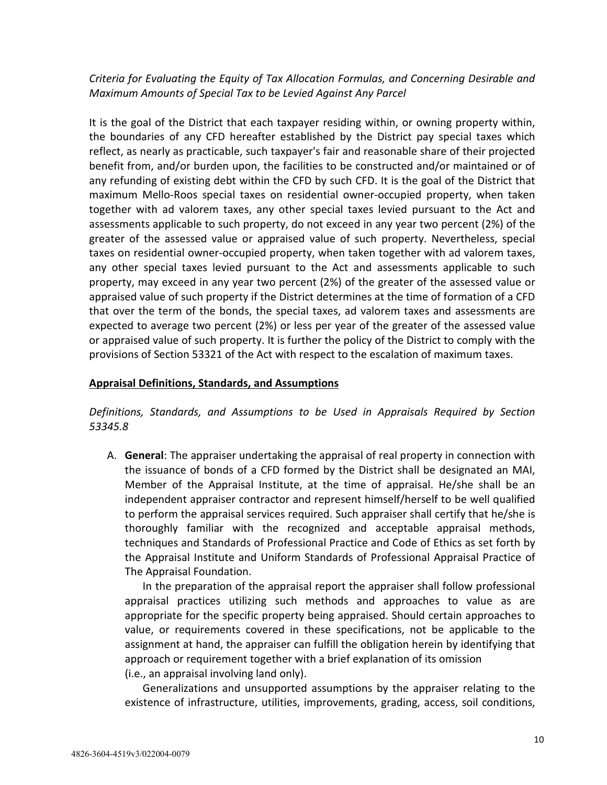<span id="page-11-0"></span>*Criteria for Evaluating the Equity of Tax Allocation Formulas, and Concerning Desirable and Maximum Amounts of Special Tax to be Levied Against Any Parcel* 

It is the goal of the District that each taxpayer residing within, or owning property within, the boundaries of any CFD hereafter established by the District pay special taxes which reflect, as nearly as practicable, such taxpayer's fair and reasonable share of their projected benefit from, and/or burden upon, the facilities to be constructed and/or maintained or of any refunding of existing debt within the CFD by such CFD. It is the goal of the District that maximum Mello-Roos special taxes on residential owner-occupied property, when taken together with ad valorem taxes, any other special taxes levied pursuant to the Act and assessments applicable to such property, do not exceed in any year two percent (2%) of the greater of the assessed value or appraised value of such property. Nevertheless, special taxes on residential owner-occupied property, when taken together with ad valorem taxes, any other special taxes levied pursuant to the Act and assessments applicable to such property, may exceed in any year two percent (2%) of the greater of the assessed value or appraised value of such property if the District determines at the time of formation of a CFD that over the term of the bonds, the special taxes, ad valorem taxes and assessments are expected to average two percent (2%) or less per year of the greater of the assessed value or appraised value of such property. It is further the policy of the District to comply with the provisions of Section 53321 of the Act with respect to the escalation of maximum taxes.

## **Appraisal Definitions, Standards, and Assumptions**

*Definitions, Standards, and Assumptions to be Used in Appraisals Required by Section 53345.8* 

A. **General**: The appraiser undertaking the appraisal of real property in connection with the issuance of bonds of a CFD formed by the District shall be designated an MAI, Member of the Appraisal Institute, at the time of appraisal. He/she shall be an independent appraiser contractor and represent himself/herself to be well qualified to perform the appraisal services required. Such appraiser shall certify that he/she is thoroughly familiar with the recognized and acceptable appraisal methods, techniques and Standards of Professional Practice and Code of Ethics as set forth by the Appraisal Institute and Uniform Standards of Professional Appraisal Practice of The Appraisal Foundation.

In the preparation of the appraisal report the appraiser shall follow professional appraisal practices utilizing such methods and approaches to value as are appropriate for the specific property being appraised. Should certain approaches to value, or requirements covered in these specifications, not be applicable to the assignment at hand, the appraiser can fulfill the obligation herein by identifying that approach or requirement together with a brief explanation of its omission (i.e., an appraisal involving land only).

 Generalizations and unsupported assumptions by the appraiser relating to the existence of infrastructure, utilities, improvements, grading, access, soil conditions,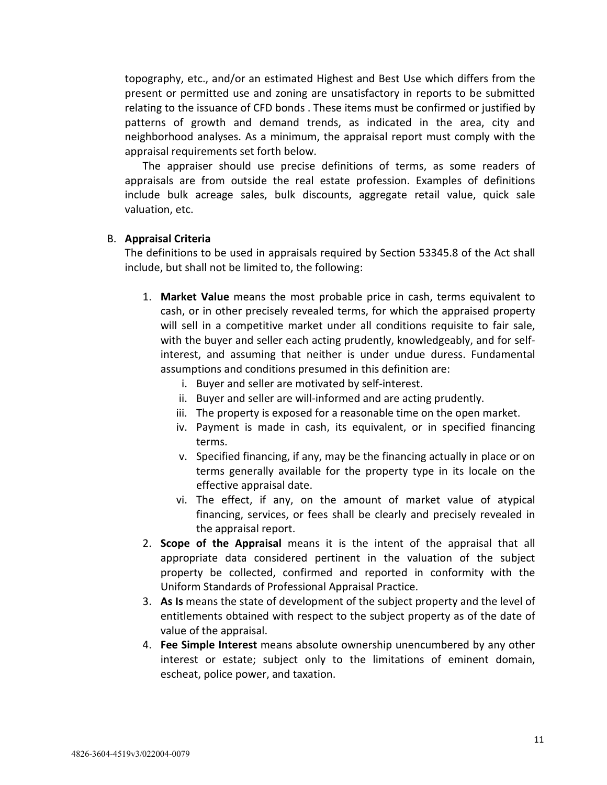topography, etc., and/or an estimated Highest and Best Use which differs from the present or permitted use and zoning are unsatisfactory in reports to be submitted relating to the issuance of CFD bonds . These items must be confirmed or justified by patterns of growth and demand trends, as indicated in the area, city and neighborhood analyses. As a minimum, the appraisal report must comply with the appraisal requirements set forth below.

 The appraiser should use precise definitions of terms, as some readers of appraisals are from outside the real estate profession. Examples of definitions include bulk acreage sales, bulk discounts, aggregate retail value, quick sale valuation, etc.

#### B. **Appraisal Criteria**

The definitions to be used in appraisals required by Section 53345.8 of the Act shall include, but shall not be limited to, the following:

- 1. **Market Value** means the most probable price in cash, terms equivalent to cash, or in other precisely revealed terms, for which the appraised property will sell in a competitive market under all conditions requisite to fair sale, with the buyer and seller each acting prudently, knowledgeably, and for selfinterest, and assuming that neither is under undue duress. Fundamental assumptions and conditions presumed in this definition are:
	- i. Buyer and seller are motivated by self-interest.
	- ii. Buyer and seller are will-informed and are acting prudently.
	- iii. The property is exposed for a reasonable time on the open market.
	- iv. Payment is made in cash, its equivalent, or in specified financing terms.
	- v. Specified financing, if any, may be the financing actually in place or on terms generally available for the property type in its locale on the effective appraisal date.
	- vi. The effect, if any, on the amount of market value of atypical financing, services, or fees shall be clearly and precisely revealed in the appraisal report.
- 2. **Scope of the Appraisal** means it is the intent of the appraisal that all appropriate data considered pertinent in the valuation of the subject property be collected, confirmed and reported in conformity with the Uniform Standards of Professional Appraisal Practice.
- 3. **As Is** means the state of development of the subject property and the level of entitlements obtained with respect to the subject property as of the date of value of the appraisal.
- 4. **Fee Simple Interest** means absolute ownership unencumbered by any other interest or estate; subject only to the limitations of eminent domain, escheat, police power, and taxation.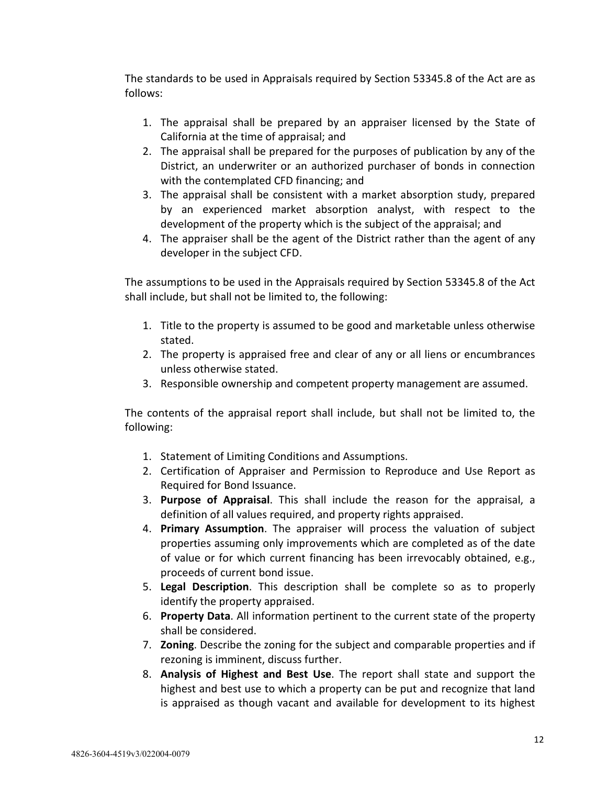The standards to be used in Appraisals required by Section 53345.8 of the Act are as follows:

- 1. The appraisal shall be prepared by an appraiser licensed by the State of California at the time of appraisal; and
- 2. The appraisal shall be prepared for the purposes of publication by any of the District, an underwriter or an authorized purchaser of bonds in connection with the contemplated CFD financing; and
- 3. The appraisal shall be consistent with a market absorption study, prepared by an experienced market absorption analyst, with respect to the development of the property which is the subject of the appraisal; and
- 4. The appraiser shall be the agent of the District rather than the agent of any developer in the subject CFD.

The assumptions to be used in the Appraisals required by Section 53345.8 of the Act shall include, but shall not be limited to, the following:

- 1. Title to the property is assumed to be good and marketable unless otherwise stated.
- 2. The property is appraised free and clear of any or all liens or encumbrances unless otherwise stated.
- 3. Responsible ownership and competent property management are assumed.

The contents of the appraisal report shall include, but shall not be limited to, the following:

- 1. Statement of Limiting Conditions and Assumptions.
- 2. Certification of Appraiser and Permission to Reproduce and Use Report as Required for Bond Issuance.
- 3. **Purpose of Appraisal**. This shall include the reason for the appraisal, a definition of all values required, and property rights appraised.
- 4. **Primary Assumption**. The appraiser will process the valuation of subject properties assuming only improvements which are completed as of the date of value or for which current financing has been irrevocably obtained, e.g., proceeds of current bond issue.
- 5. **Legal Description**. This description shall be complete so as to properly identify the property appraised.
- 6. **Property Data**. All information pertinent to the current state of the property shall be considered.
- 7. **Zoning**. Describe the zoning for the subject and comparable properties and if rezoning is imminent, discuss further.
- 8. **Analysis of Highest and Best Use**. The report shall state and support the highest and best use to which a property can be put and recognize that land is appraised as though vacant and available for development to its highest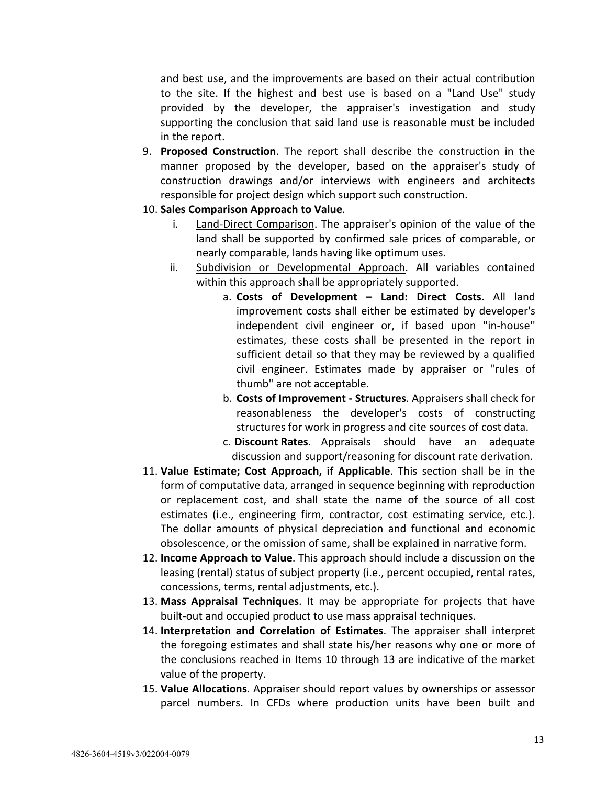and best use, and the improvements are based on their actual contribution to the site. If the highest and best use is based on a "Land Use" study provided by the developer, the appraiser's investigation and study supporting the conclusion that said land use is reasonable must be included in the report.

- 9. **Proposed Construction**. The report shall describe the construction in the manner proposed by the developer, based on the appraiser's study of construction drawings and/or interviews with engineers and architects responsible for project design which support such construction.
- 10. **Sales Comparison Approach to Value**.
	- i. Land-Direct Comparison. The appraiser's opinion of the value of the land shall be supported by confirmed sale prices of comparable, or nearly comparable, lands having like optimum uses.
	- ii. Subdivision or Developmental Approach. All variables contained within this approach shall be appropriately supported.
		- a. **Costs of Development Land: Direct Costs**. All land improvement costs shall either be estimated by developer's independent civil engineer or, if based upon "in-house'' estimates, these costs shall be presented in the report in sufficient detail so that they may be reviewed by a qualified civil engineer. Estimates made by appraiser or "rules of thumb" are not acceptable.
		- b. **Costs of Improvement Structures**. Appraisers shall check for reasonableness the developer's costs of constructing structures for work in progress and cite sources of cost data.
		- c. **Discount Rates**. Appraisals should have an adequate discussion and support/reasoning for discount rate derivation.
- 11. **Value Estimate; Cost Approach, if Applicable**. This section shall be in the form of computative data, arranged in sequence beginning with reproduction or replacement cost, and shall state the name of the source of all cost estimates (i.e., engineering firm, contractor, cost estimating service, etc.). The dollar amounts of physical depreciation and functional and economic obsolescence, or the omission of same, shall be explained in narrative form.
- 12. **Income Approach to Value**. This approach should include a discussion on the leasing (rental) status of subject property (i.e., percent occupied, rental rates, concessions, terms, rental adjustments, etc.).
- 13. **Mass Appraisal Techniques**. It may be appropriate for projects that have built-out and occupied product to use mass appraisal techniques.
- 14. **Interpretation and Correlation of Estimates**. The appraiser shall interpret the foregoing estimates and shall state his/her reasons why one or more of the conclusions reached in Items 10 through 13 are indicative of the market value of the property.
- 15. **Value Allocations**. Appraiser should report values by ownerships or assessor parcel numbers. In CFDs where production units have been built and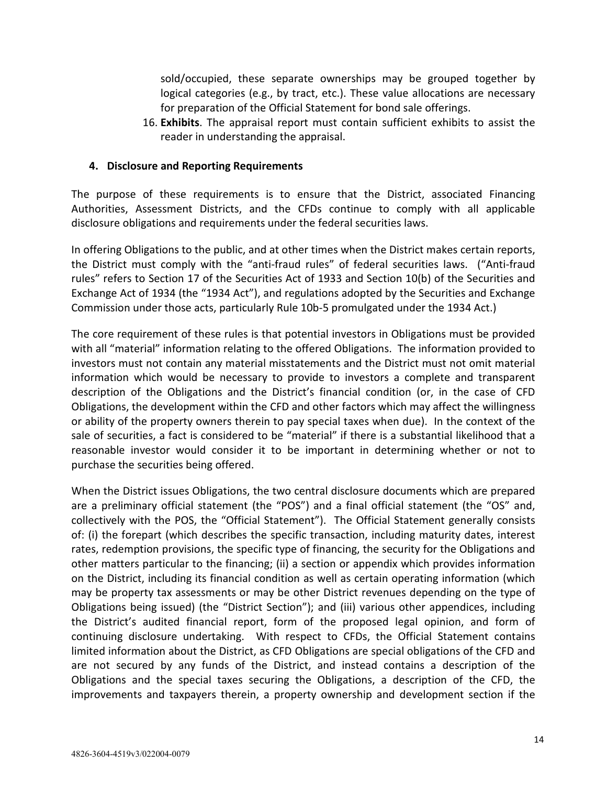<span id="page-15-0"></span>sold/occupied, these separate ownerships may be grouped together by logical categories (e.g., by tract, etc.). These value allocations are necessary for preparation of the Official Statement for bond sale offerings.

16. **Exhibits**. The appraisal report must contain sufficient exhibits to assist the reader in understanding the appraisal.

## **4. Disclosure and Reporting Requirements**

The purpose of these requirements is to ensure that the District, associated Financing Authorities, Assessment Districts, and the CFDs continue to comply with all applicable disclosure obligations and requirements under the federal securities laws.

In offering Obligations to the public, and at other times when the District makes certain reports, the District must comply with the "anti-fraud rules" of federal securities laws. ("Anti-fraud rules" refers to Section 17 of the Securities Act of 1933 and Section 10(b) of the Securities and Exchange Act of 1934 (the "1934 Act"), and regulations adopted by the Securities and Exchange Commission under those acts, particularly Rule 10b-5 promulgated under the 1934 Act.)

The core requirement of these rules is that potential investors in Obligations must be provided with all "material" information relating to the offered Obligations. The information provided to investors must not contain any material misstatements and the District must not omit material information which would be necessary to provide to investors a complete and transparent description of the Obligations and the District's financial condition (or, in the case of CFD Obligations, the development within the CFD and other factors which may affect the willingness or ability of the property owners therein to pay special taxes when due). In the context of the sale of securities, a fact is considered to be "material" if there is a substantial likelihood that a reasonable investor would consider it to be important in determining whether or not to purchase the securities being offered.

When the District issues Obligations, the two central disclosure documents which are prepared are a preliminary official statement (the "POS") and a final official statement (the "OS" and, collectively with the POS, the "Official Statement"). The Official Statement generally consists of: (i) the forepart (which describes the specific transaction, including maturity dates, interest rates, redemption provisions, the specific type of financing, the security for the Obligations and other matters particular to the financing; (ii) a section or appendix which provides information on the District, including its financial condition as well as certain operating information (which may be property tax assessments or may be other District revenues depending on the type of Obligations being issued) (the "District Section"); and (iii) various other appendices, including the District's audited financial report, form of the proposed legal opinion, and form of continuing disclosure undertaking. With respect to CFDs, the Official Statement contains limited information about the District, as CFD Obligations are special obligations of the CFD and are not secured by any funds of the District, and instead contains a description of the Obligations and the special taxes securing the Obligations, a description of the CFD, the improvements and taxpayers therein, a property ownership and development section if the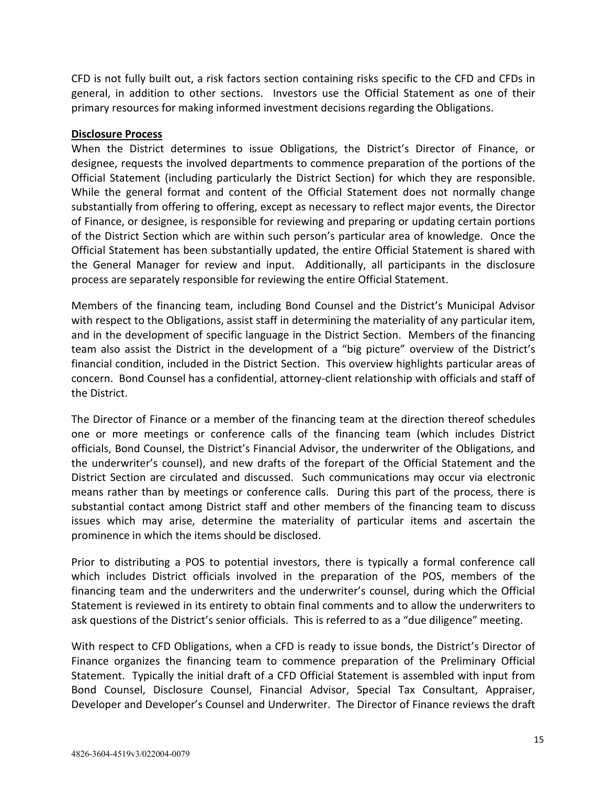CFD is not fully built out, a risk factors section containing risks specific to the CFD and CFDs in general, in addition to other sections. Investors use the Official Statement as one of their primary resources for making informed investment decisions regarding the Obligations.

### **Disclosure Process**

When the District determines to issue Obligations, the District's Director of Finance, or designee, requests the involved departments to commence preparation of the portions of the Official Statement (including particularly the District Section) for which they are responsible. While the general format and content of the Official Statement does not normally change substantially from offering to offering, except as necessary to reflect major events, the Director of Finance, or designee, is responsible for reviewing and preparing or updating certain portions of the District Section which are within such person's particular area of knowledge. Once the Official Statement has been substantially updated, the entire Official Statement is shared with the General Manager for review and input. Additionally, all participants in the disclosure process are separately responsible for reviewing the entire Official Statement.

Members of the financing team, including Bond Counsel and the District's Municipal Advisor with respect to the Obligations, assist staff in determining the materiality of any particular item, and in the development of specific language in the District Section. Members of the financing team also assist the District in the development of a "big picture" overview of the District's financial condition, included in the District Section. This overview highlights particular areas of concern. Bond Counsel has a confidential, attorney-client relationship with officials and staff of the District.

The Director of Finance or a member of the financing team at the direction thereof schedules one or more meetings or conference calls of the financing team (which includes District officials, Bond Counsel, the District's Financial Advisor, the underwriter of the Obligations, and the underwriter's counsel), and new drafts of the forepart of the Official Statement and the District Section are circulated and discussed. Such communications may occur via electronic means rather than by meetings or conference calls. During this part of the process, there is substantial contact among District staff and other members of the financing team to discuss issues which may arise, determine the materiality of particular items and ascertain the prominence in which the items should be disclosed.

Prior to distributing a POS to potential investors, there is typically a formal conference call which includes District officials involved in the preparation of the POS, members of the financing team and the underwriters and the underwriter's counsel, during which the Official Statement is reviewed in its entirety to obtain final comments and to allow the underwriters to ask questions of the District's senior officials. This is referred to as a "due diligence" meeting.

With respect to CFD Obligations, when a CFD is ready to issue bonds, the District's Director of Finance organizes the financing team to commence preparation of the Preliminary Official Statement. Typically the initial draft of a CFD Official Statement is assembled with input from Bond Counsel, Disclosure Counsel, Financial Advisor, Special Tax Consultant, Appraiser, Developer and Developer's Counsel and Underwriter. The Director of Finance reviews the draft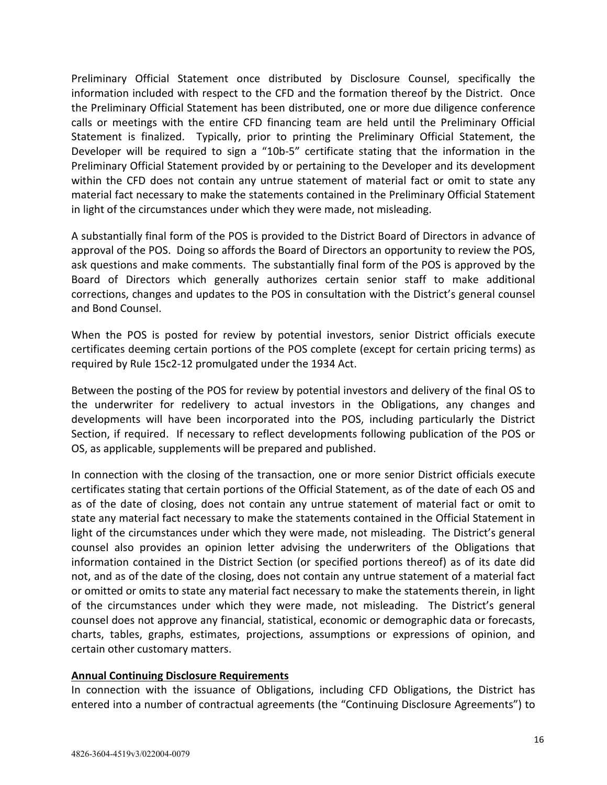Preliminary Official Statement once distributed by Disclosure Counsel, specifically the information included with respect to the CFD and the formation thereof by the District. Once the Preliminary Official Statement has been distributed, one or more due diligence conference calls or meetings with the entire CFD financing team are held until the Preliminary Official Statement is finalized. Typically, prior to printing the Preliminary Official Statement, the Developer will be required to sign a "10b-5" certificate stating that the information in the Preliminary Official Statement provided by or pertaining to the Developer and its development within the CFD does not contain any untrue statement of material fact or omit to state any material fact necessary to make the statements contained in the Preliminary Official Statement in light of the circumstances under which they were made, not misleading.

A substantially final form of the POS is provided to the District Board of Directors in advance of approval of the POS. Doing so affords the Board of Directors an opportunity to review the POS, ask questions and make comments. The substantially final form of the POS is approved by the Board of Directors which generally authorizes certain senior staff to make additional corrections, changes and updates to the POS in consultation with the District's general counsel and Bond Counsel.

When the POS is posted for review by potential investors, senior District officials execute certificates deeming certain portions of the POS complete (except for certain pricing terms) as required by Rule 15c2-12 promulgated under the 1934 Act.

Between the posting of the POS for review by potential investors and delivery of the final OS to the underwriter for redelivery to actual investors in the Obligations, any changes and developments will have been incorporated into the POS, including particularly the District Section, if required. If necessary to reflect developments following publication of the POS or OS, as applicable, supplements will be prepared and published.

In connection with the closing of the transaction, one or more senior District officials execute certificates stating that certain portions of the Official Statement, as of the date of each OS and as of the date of closing, does not contain any untrue statement of material fact or omit to state any material fact necessary to make the statements contained in the Official Statement in light of the circumstances under which they were made, not misleading. The District's general counsel also provides an opinion letter advising the underwriters of the Obligations that information contained in the District Section (or specified portions thereof) as of its date did not, and as of the date of the closing, does not contain any untrue statement of a material fact or omitted or omits to state any material fact necessary to make the statements therein, in light of the circumstances under which they were made, not misleading. The District's general counsel does not approve any financial, statistical, economic or demographic data or forecasts, charts, tables, graphs, estimates, projections, assumptions or expressions of opinion, and certain other customary matters.

## **Annual Continuing Disclosure Requirements**

In connection with the issuance of Obligations, including CFD Obligations, the District has entered into a number of contractual agreements (the "Continuing Disclosure Agreements") to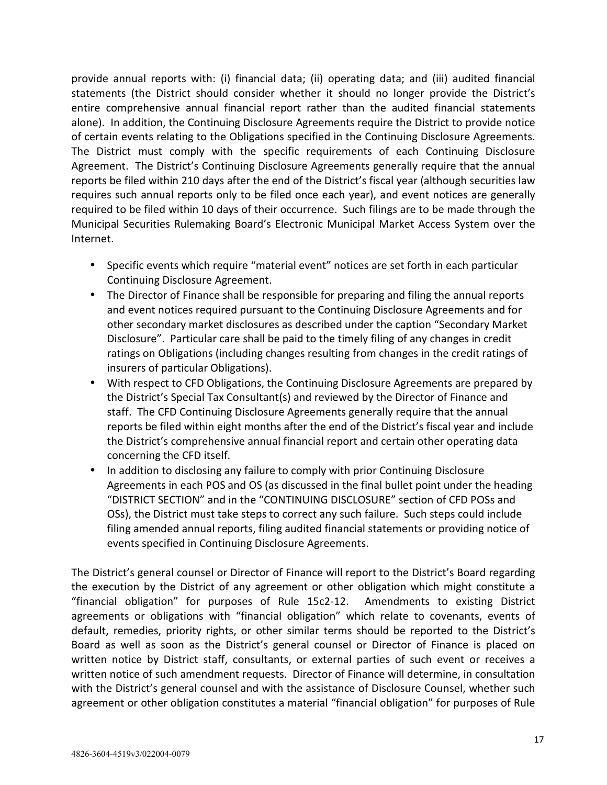provide annual reports with: (i) financial data; (ii) operating data; and (iii) audited financial statements (the District should consider whether it should no longer provide the District's entire comprehensive annual financial report rather than the audited financial statements alone). In addition, the Continuing Disclosure Agreements require the District to provide notice of certain events relating to the Obligations specified in the Continuing Disclosure Agreements. The District must comply with the specific requirements of each Continuing Disclosure Agreement. The District's Continuing Disclosure Agreements generally require that the annual reports be filed within 210 days after the end of the District's fiscal year (although securities law requires such annual reports only to be filed once each year), and event notices are generally required to be filed within 10 days of their occurrence. Such filings are to be made through the Municipal Securities Rulemaking Board's Electronic Municipal Market Access System over the Internet.

- Specific events which require "material event" notices are set forth in each particular Continuing Disclosure Agreement.
- The Director of Finance shall be responsible for preparing and filing the annual reports and event notices required pursuant to the Continuing Disclosure Agreements and for other secondary market disclosures as described under the caption "Secondary Market Disclosure". Particular care shall be paid to the timely filing of any changes in credit ratings on Obligations (including changes resulting from changes in the credit ratings of insurers of particular Obligations).
- With respect to CFD Obligations, the Continuing Disclosure Agreements are prepared by the District's Special Tax Consultant(s) and reviewed by the Director of Finance and staff. The CFD Continuing Disclosure Agreements generally require that the annual reports be filed within eight months after the end of the District's fiscal year and include the District's comprehensive annual financial report and certain other operating data concerning the CFD itself.
- In addition to disclosing any failure to comply with prior Continuing Disclosure Agreements in each POS and OS (as discussed in the final bullet point under the heading "DISTRICT SECTION" and in the "CONTINUING DISCLOSURE" section of CFD POSs and OSs), the District must take steps to correct any such failure. Such steps could include filing amended annual reports, filing audited financial statements or providing notice of events specified in Continuing Disclosure Agreements.

The District's general counsel or Director of Finance will report to the District's Board regarding the execution by the District of any agreement or other obligation which might constitute a "financial obligation" for purposes of Rule 15c2-12. Amendments to existing District agreements or obligations with "financial obligation" which relate to covenants, events of default, remedies, priority rights, or other similar terms should be reported to the District's Board as well as soon as the District's general counsel or Director of Finance is placed on written notice by District staff, consultants, or external parties of such event or receives a written notice of such amendment requests. Director of Finance will determine, in consultation with the District's general counsel and with the assistance of Disclosure Counsel, whether such agreement or other obligation constitutes a material "financial obligation" for purposes of Rule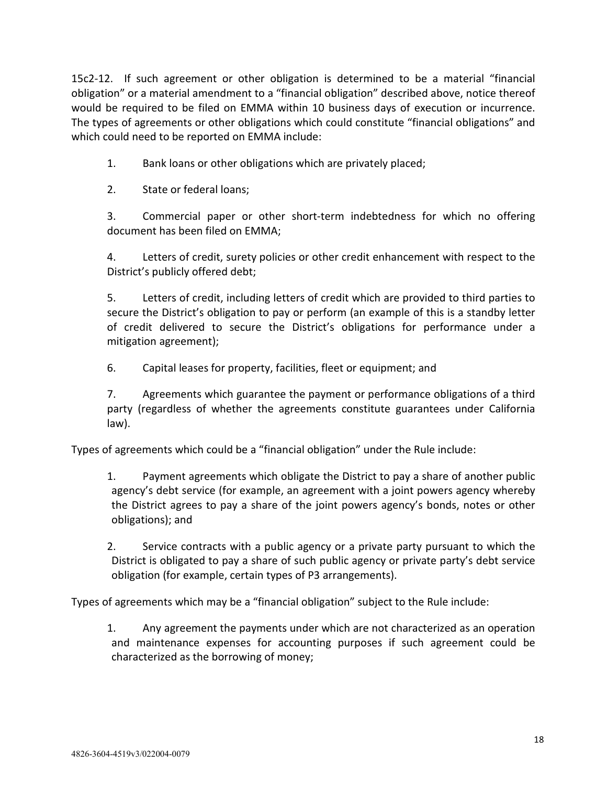15c2-12. If such agreement or other obligation is determined to be a material "financial obligation" or a material amendment to a "financial obligation" described above, notice thereof would be required to be filed on EMMA within 10 business days of execution or incurrence. The types of agreements or other obligations which could constitute "financial obligations" and which could need to be reported on EMMA include:

1. Bank loans or other obligations which are privately placed;

2. State or federal loans;

3. Commercial paper or other short-term indebtedness for which no offering document has been filed on EMMA;

4. Letters of credit, surety policies or other credit enhancement with respect to the District's publicly offered debt;

5. Letters of credit, including letters of credit which are provided to third parties to secure the District's obligation to pay or perform (an example of this is a standby letter of credit delivered to secure the District's obligations for performance under a mitigation agreement);

6. Capital leases for property, facilities, fleet or equipment; and

7. Agreements which guarantee the payment or performance obligations of a third party (regardless of whether the agreements constitute guarantees under California law).

Types of agreements which could be a "financial obligation" under the Rule include:

1. Payment agreements which obligate the District to pay a share of another public agency's debt service (for example, an agreement with a joint powers agency whereby the District agrees to pay a share of the joint powers agency's bonds, notes or other obligations); and

2. Service contracts with a public agency or a private party pursuant to which the District is obligated to pay a share of such public agency or private party's debt service obligation (for example, certain types of P3 arrangements).

Types of agreements which may be a "financial obligation" subject to the Rule include:

1. Any agreement the payments under which are not characterized as an operation and maintenance expenses for accounting purposes if such agreement could be characterized as the borrowing of money;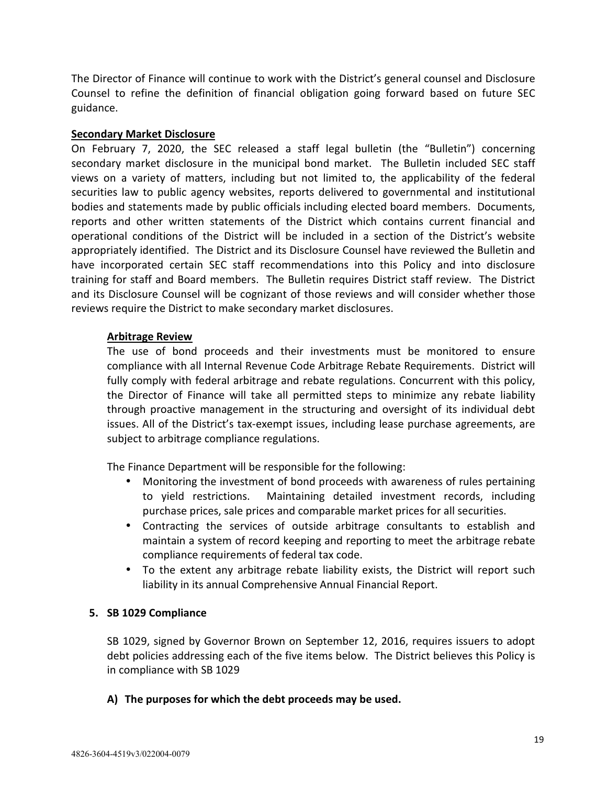<span id="page-20-0"></span>The Director of Finance will continue to work with the District's general counsel and Disclosure Counsel to refine the definition of financial obligation going forward based on future SEC guidance.

## **Secondary Market Disclosure**

On February 7, 2020, the SEC released a staff legal bulletin (the "Bulletin") concerning secondary market disclosure in the municipal bond market. The Bulletin included SEC staff views on a variety of matters, including but not limited to, the applicability of the federal securities law to public agency websites, reports delivered to governmental and institutional bodies and statements made by public officials including elected board members. Documents, reports and other written statements of the District which contains current financial and operational conditions of the District will be included in a section of the District's website appropriately identified. The District and its Disclosure Counsel have reviewed the Bulletin and have incorporated certain SEC staff recommendations into this Policy and into disclosure training for staff and Board members. The Bulletin requires District staff review. The District and its Disclosure Counsel will be cognizant of those reviews and will consider whether those reviews require the District to make secondary market disclosures.

## **Arbitrage Review**

The use of bond proceeds and their investments must be monitored to ensure compliance with all Internal Revenue Code Arbitrage Rebate Requirements. District will fully comply with federal arbitrage and rebate regulations. Concurrent with this policy, the Director of Finance will take all permitted steps to minimize any rebate liability through proactive management in the structuring and oversight of its individual debt issues. All of the District's tax-exempt issues, including lease purchase agreements, are subject to arbitrage compliance regulations.

The Finance Department will be responsible for the following:

- Monitoring the investment of bond proceeds with awareness of rules pertaining to yield restrictions. Maintaining detailed investment records, including purchase prices, sale prices and comparable market prices for all securities.
- Contracting the services of outside arbitrage consultants to establish and maintain a system of record keeping and reporting to meet the arbitrage rebate compliance requirements of federal tax code.
- To the extent any arbitrage rebate liability exists, the District will report such liability in its annual Comprehensive Annual Financial Report.

## **5. SB 1029 Compliance**

SB 1029, signed by Governor Brown on September 12, 2016, requires issuers to adopt debt policies addressing each of the five items below. The District believes this Policy is in compliance with SB 1029

## **A) The purposes for which the debt proceeds may be used.**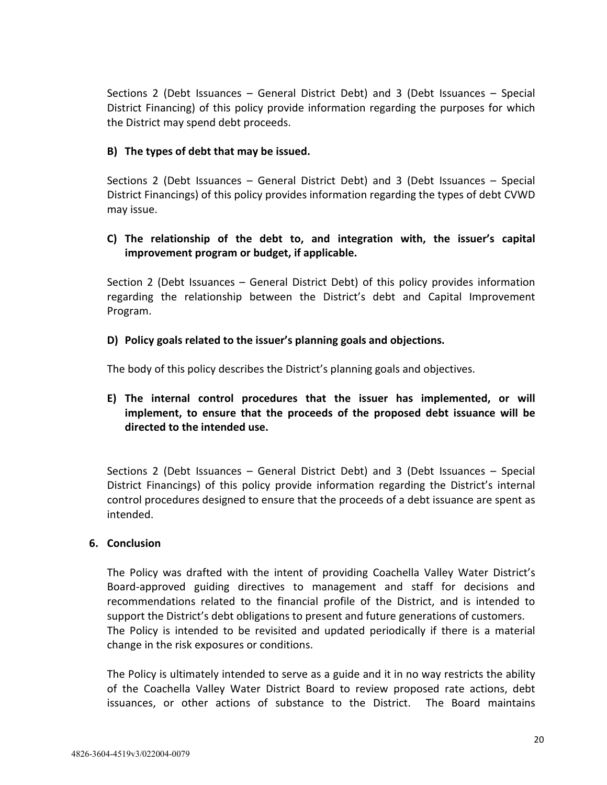<span id="page-21-0"></span>Sections 2 (Debt Issuances – General District Debt) and 3 (Debt Issuances – Special District Financing) of this policy provide information regarding the purposes for which the District may spend debt proceeds.

### **B) The types of debt that may be issued.**

Sections 2 (Debt Issuances – General District Debt) and 3 (Debt Issuances – Special District Financings) of this policy provides information regarding the types of debt CVWD may issue.

## **C) The relationship of the debt to, and integration with, the issuer's capital improvement program or budget, if applicable.**

Section 2 (Debt Issuances – General District Debt) of this policy provides information regarding the relationship between the District's debt and Capital Improvement Program.

### **D) Policy goals related to the issuer's planning goals and objections.**

The body of this policy describes the District's planning goals and objectives.

**E) The internal control procedures that the issuer has implemented, or will implement, to ensure that the proceeds of the proposed debt issuance will be directed to the intended use.** 

Sections 2 (Debt Issuances – General District Debt) and 3 (Debt Issuances – Special District Financings) of this policy provide information regarding the District's internal control procedures designed to ensure that the proceeds of a debt issuance are spent as intended.

#### **6. Conclusion**

The Policy was drafted with the intent of providing Coachella Valley Water District's Board-approved guiding directives to management and staff for decisions and recommendations related to the financial profile of the District, and is intended to support the District's debt obligations to present and future generations of customers. The Policy is intended to be revisited and updated periodically if there is a material change in the risk exposures or conditions.

The Policy is ultimately intended to serve as a guide and it in no way restricts the ability of the Coachella Valley Water District Board to review proposed rate actions, debt issuances, or other actions of substance to the District. The Board maintains